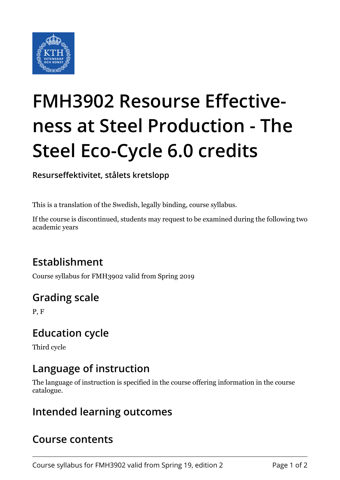

# **FMH3902 Resourse Effectiveness at Steel Production - The Steel Eco-Cycle 6.0 credits**

**Resurseffektivitet, stålets kretslopp**

This is a translation of the Swedish, legally binding, course syllabus.

If the course is discontinued, students may request to be examined during the following two academic years

## **Establishment**

Course syllabus for FMH3902 valid from Spring 2019

## **Grading scale**

P, F

#### **Education cycle**

Third cycle

## **Language of instruction**

The language of instruction is specified in the course offering information in the course catalogue.

#### **Intended learning outcomes**

#### **Course contents**